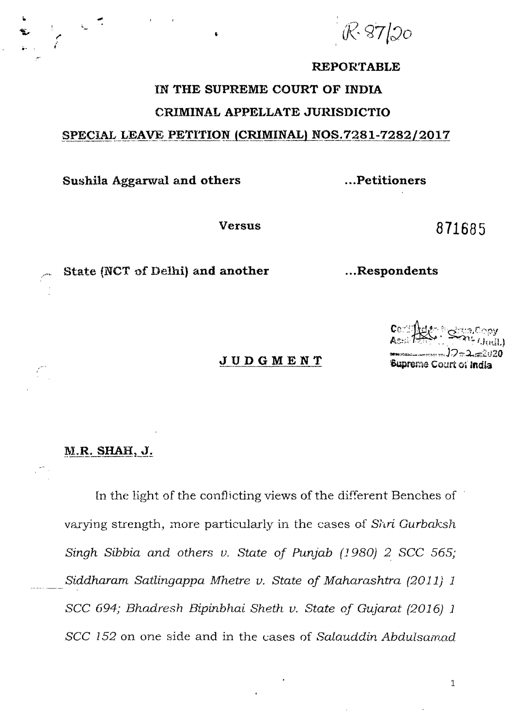$87/20$ 

## **REPORTABLE**

## IN THE SUPREME COURT OF INDIA CRIMINAL APPELLATE JURISDICTIO

## SPECIAL LEAVE PETITION (CRIMINAL) NOS.7281-7282/2017

Sushila Aggarwal and others

...Petitioners

...Respondents

**Versus** 

871685

State (NCT of Delhi) and another

**JUDGMENT** 

 $2.5220$ Supreme Court of India

## M.R. SHAH, J.

In the light of the conflicting views of the different Benches of varying strength, more particularly in the cases of Shri Gurbaksh Singh Sibbia and others v. State of Punjab (1980) 2 SCC 565; Siddharam Satlingappa Mhetre v. State of Maharashtra (2011) 1 SCC 694; Bhadresh Bipinbhai Sheth v. State of Gujarat (2016) 1 SCC 152 on one side and in the cases of Salauddin Abdulsamad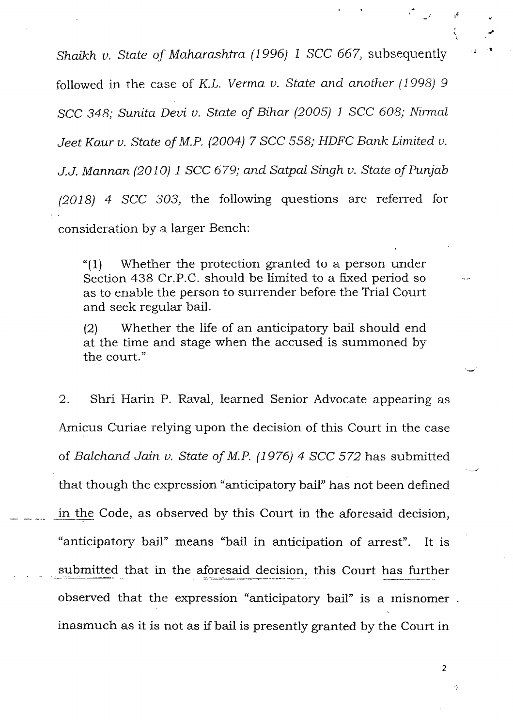Shaikh v. State of Maharashtra (1996) 1 SCC 667, subsequently followed in the case of K.L. Verma v. State and another (1998) 9 J.J. Mannan (2010) 1 SCC 679; and Satpal Singh v. State of Punjab  $(2018)$  4 SCC 303, the following questions are referred for SCC 348; Sunita Devi v. State of Bihar (2005) 1 SCC 608; Nirmal Jeet Kaur v. State of M.P. (2004)  $7$  SCC 558; HDFC Bank Limited v. consideration hy a larger Bench:

" $(1)$  Whether the protection granted to a person under Section 438 Cr.P.C. should be limited to a fixed period so as to enable the person to surrender before the Trial Court and seek regular bail.

(2) Whether the life of an anticipatory bail should end at the time and stage when the accused is summoned by the court."

2. Shri Harin P. Raval, learned Senior Advocate appearing as Amicus Curiae relying upon the decision of this Court in the case of Balchand Jain v. State of M.P. (1976) 4 SCC 572 has submitted that though the expression "anticipatory bail" has not been defined in the Code, as observed by this Court in the aforesaid decision, "anticipatory bail" means \*bail in anticipation of arrest". It is submitted that in the aforesaid decision, this Court has further observed that the expression "anticipatory bail" is a misnomer. inasmuch as it is not as if bail is presently granted by the Court in

2

Ą.

!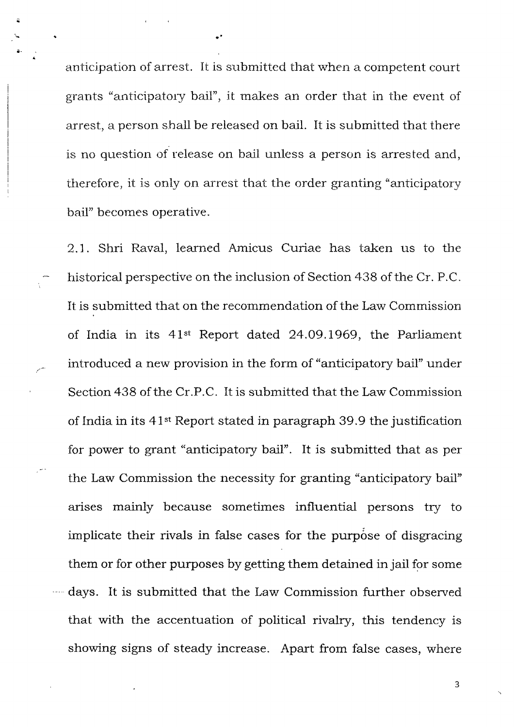anticipation of arrest. It is submitted that when a competent court grants "anticipatory bail", it makes an order that in the event of arrest, a person shall be released on bail. It is submitted that there is no question of release on bail unless a person is arrested and, therefore, it is only on arrest that the order granting "anticipatory" bail" becomes operative

a

2.1. Shri Raval, learned Amicus Curiae has taken us to the historical perspective on the inclusion of Section 438 of the Cr. P.C. It is submitted that on the recommendation of the Law Commission of India in its  $41^{st}$  Report dated 24.09.1969, the Parliament introduced a new provision in the form of "anticipatory bail" under Section 438 of the Cr.P.C. It is submitted that the Law Commission of India in its 41<sup>st</sup> Report stated in paragraph 39.9 the justification for power to grant "anticipatory baiI". It is submitted that as per the Law Commission the necessity for granting "anticipatory bail" arises mainly because sometimes influential persons try to implicate their rivals in false cases for the purpose of disgracing them or for other purposes by getting thern detained in jail for some days. It is submitted that the Law Commission further observed that with the accentuation of political rivalry, this tendency is showing signs of steady increase. Apart from false cases, where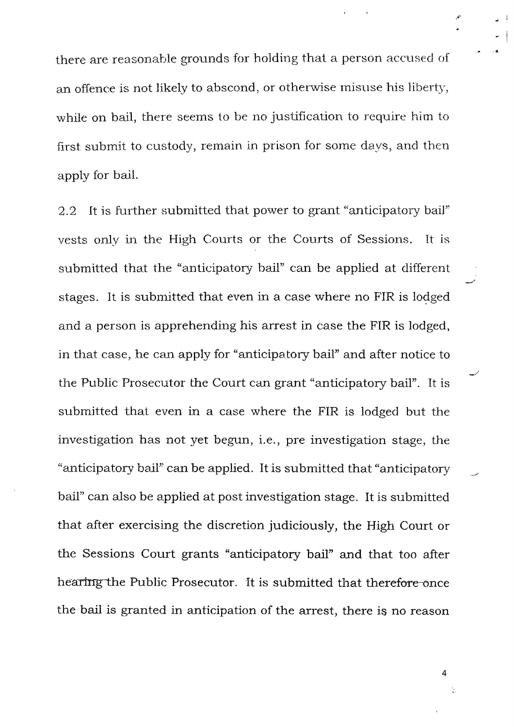there are reasonable grounds for holding that a person accused of an offence is not likely to abscond, or otherwise misuse his liberty, while on bail, there seems to be no justification to require him to first submit to custody, remain in prison for some days, and then apply for bail.

2.2 It is further submitted that power to grant "anticipatory bail" vests only in the High Courts or the Courts of Sessions. It is submitted that the "anticipatory bail" can be applied at different stages. It is submitted that even in a case where no FIR is lodged and a person is apprehending his arrest in case the FIR is lodged, in that case, he can apply for "anticipatory bail" and after notice to the Public Prosecutor the Court can grant "anticipatory bail". It is submitted that even in a case where the FIR is lodged but the investigation has not yet begun, i.e., pre investigation stage, the "anticipatory bail" can be applied. It is submitted that "anticipatory bail" can also be applied at post investigation stage. It is submitted that after exercising the discretion judiciously, the High Court or the Sessions Court grants "anticipatory bail" and that too after hearing the Public Prosecutor. It is submitted that therefore-once the bail is granted in anticipation of the arrest, there is no reason

4

Ò,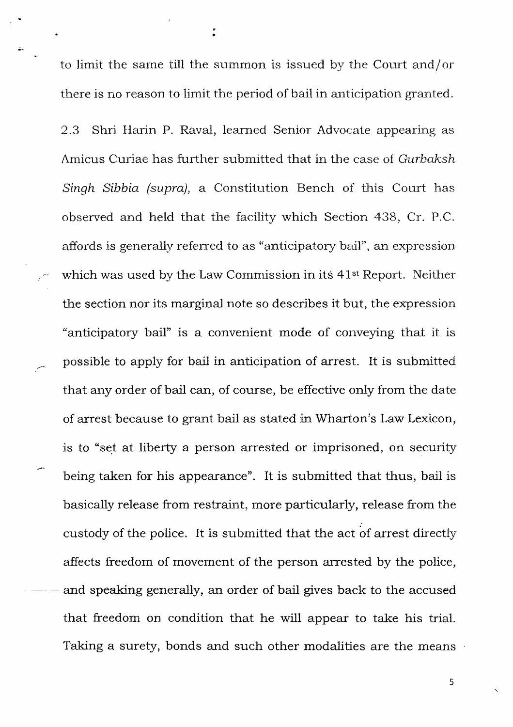to limit the same till the summon is issued by the Court and/or there is no reason to limit the period of bail in anticipation granted

a

;-

2.3 Shri Harin P. Raval, learned Senior Advocate appearing as Amicus Curiae has further submitted that in the case of Gurbaksh Singh Sibbia (supra), a Constitution Bench of this Court has observed and held that the facility which Section 438, Cr.P.C. atfords is generally referred to as "anticipatory bedl", an expression which was used by the Law Commission in its 41<sup>st</sup> Report. Neither the section nor its marginal note so describes it but, the expression "anticipatory bail" is a convenient mode of conveying that it is possible to apply for bail in anticipation of arrest. It is submitted that any order of bail can, of course, be effective only from the date of arrest because to grant bail as stated in Wharton's Law Lexicon, is to "set at liberty a person arrested or imprisoned, on security being taken for his appeararce". It is submitted that thus, bail is basically release from restraint, more particularly, release from the custody of the police. It is submitted that the act of arrest directly affects freedom of movement of the person arrested by the police, and speaking generally, an order of bail gives back to the accused that freedom on condition that he will appear to take his trial. Taking a surety, bonds and such other modalities are the means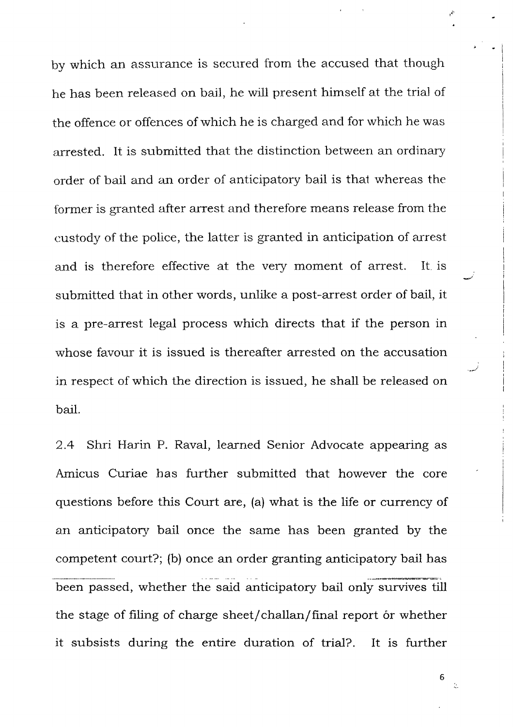by which an assurance is secured from the accused that though he has been released on bail, he will present himself at the trial of the offence or offences of which he is charged and for which he was arrested. It is submitted that the distinction between an ordinary order of bail and an order of anticipatory bail is that whereas the former is granted after arrest and therefore means release from the custridy of the police, the latter is granted in anticipation of arrest and is therefore effective at the very moment of arrest. It is submitted that in other words, unlike a post-arrest order of bail, it is a pre-arrest legal process which directs that if the person in whose favour it is issued is thereafter arrested on the accusation in respect of which the direction is issued, he shall be released on bail

2.4 Shri Harin P. Raval, learned Senior Advocate appearing as Amicus Curiae has further submitted that however the core questions before this Court are, (a) what is the life or currency of an anticipatory bail once the sarne has been granted by the competent court?; (b) once an order granting anticipatory bail has been passed, whether the said anticipatory bail only survives till the stage of filing of charge sheet/challan/final report or whether it subsists during the entire duration of trial?. It is further

6

 $\frac{1}{2}$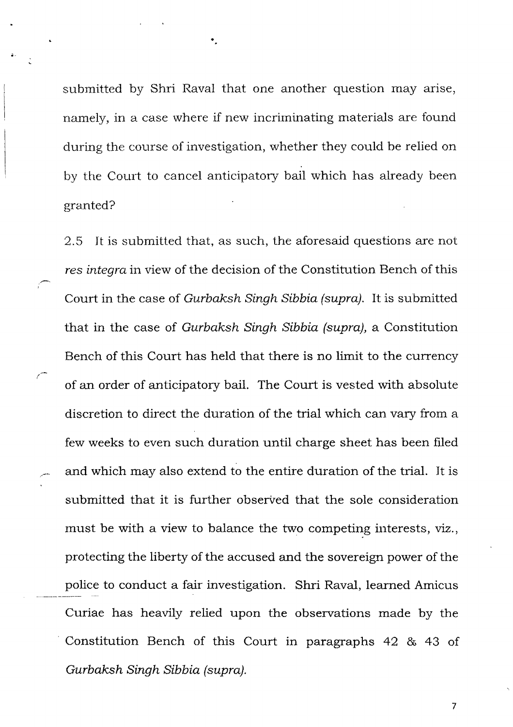submitted by Shri Raval that one another question may arise, namely, in a case where if new incriminating materials are found during the course of investigation, whether they could be relied on by the Court to cancel anticipatory bail which has already been granted?

2.5 It is submitted that, as such, the aforesaid questions are not res integra in view of the decision of the Constitution Bench of this Court in the case of Gurbaksh Singh Sibbia (supra). It is submitted that in the case of Gurbaksh Singh Sibbia (supra), a Constitution Bench of this Court has held that there is no limit to the currency of an order of anticipatory bail. The Court is vested with absolute discretion to direct the duration of the trial which can vary from a few weeks to even such duration until charge sheet has been filed and which may also extend to the entire duration of the trial. It is submitted that it is further observed that the sole consideration rnust be with a view to balance the two competing interests, viz., protecting the liberty of the accused and the sovereign power of the police to conduct a fair investigation. Shri Raval, learned Amicus Curiae has heavily relied upon the observations made by the Constitution Bench of this Court in paragraphs 42 & 43 of Gurbaksh Singh Sibbia (supra).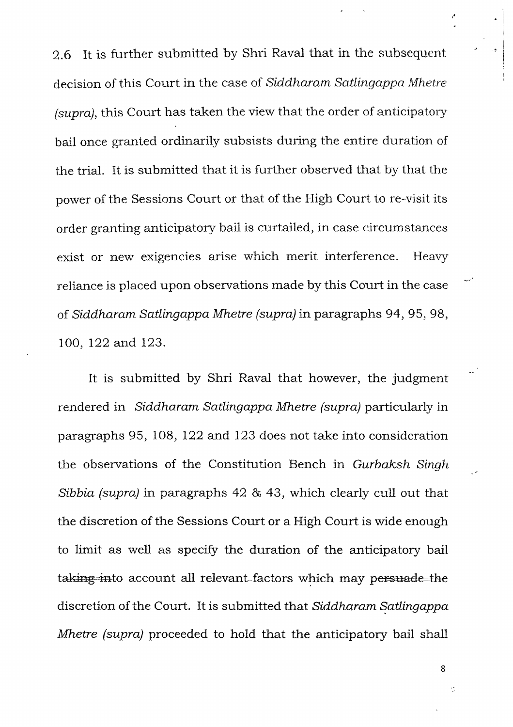2.6 It is further submitted by Shri Raval that in the subsequent" decision of this Court in the case of Siddharam Satlingappa Mhetre (supra), this Court has taken the view that the order of anticipatory bail once granted ordinarily subsists during the entire duration of the trial. It is submitted that it is further observed that by that the power of the Sessions Court or that of the High Court to re-visit its order granting anticipatory bail is curtailed, in case circumstances exist or new exigencies arise which merit interference. Heavy reliance is placed upon observations made by this Court in the case of Siddharam Satlingappa Mhetre (supra) in paragraphs 94, 95, 98, 100, I22 and 123.

It is submitted by Shri Raval that however, the judgment rendered in Siddharam Satlingappa Mhetre (supra) particularly in paragraphs 95, 108, 122 and 123 does not take into consideration the observations of the Constitution Bench in Gurbaksh Singh Sibbia (supra) in paragraphs 42 & 43, which clearly cull out that the discretion of the Sessions Court or a High Court is wide enough to limit as well as specify the duration of the anticipatory bail taking-into account all relevant-factors which may persuade-the discretion of the Court, It is submitted that Siddharam Satlingappa Mhetre (supra) proceeded to hold that the anticipatory bail shall

8

÷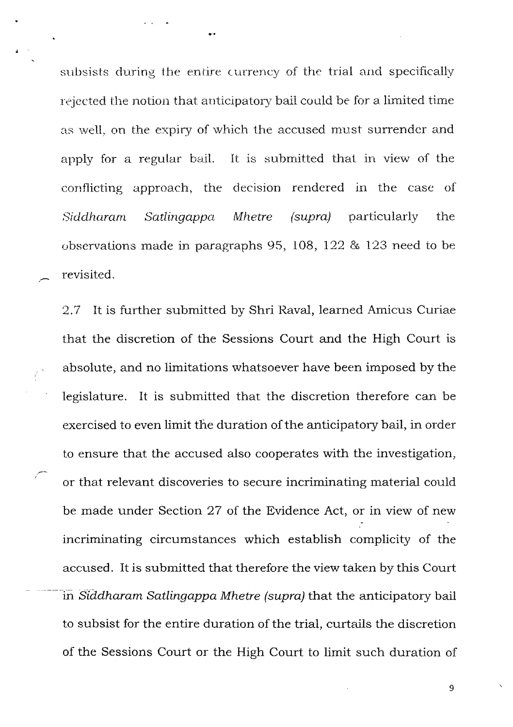subsists during the entire currency of the trial and specifically rejected the notion that anticipatory bail could be for a limited time as well, on the expiry of which the accused must surrender and It is submitted that in view of the apply for a regular bail. conflicting approach, the decision rendered in the case of Siddharam Satlingappa **Mhetre**  $(supra)$ particularly the observations made in paragraphs 95, 108, 122  $\&$  123 need to be revisited.

It is further submitted by Shri Raval, learned Amicus Curiae 2.7 that the discretion of the Sessions Court and the High Court is absolute, and no limitations whatsoever have been imposed by the legislature. It is submitted that the discretion therefore can be exercised to even limit the duration of the anticipatory bail, in order to ensure that the accused also cooperates with the investigation, or that relevant discoveries to secure incriminating material could be made under Section 27 of the Evidence Act, or in view of new incriminating circumstances which establish complicity of the accused. It is submitted that therefore the view taken by this Court in Siddharam Satlingappa Mhetre (supra) that the anticipatory bail to subsist for the entire duration of the trial, curtails the discretion of the Sessions Court or the High Court to limit such duration of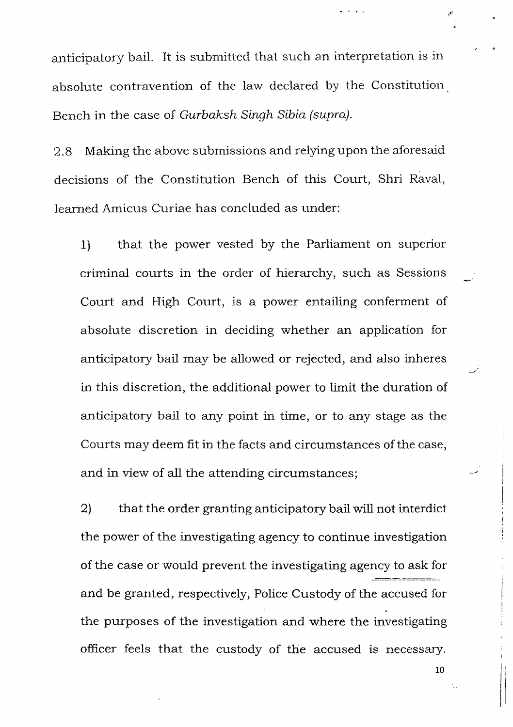anticipatory bail. It is submitted that such an interpretation is in absolute contravention of the law declared by the Constitution Bench in the case of Gurbaksh Singh Sibia (supra).

2.8 Making the above submissions and relying upon the aforesaid decisions of the Constitution Bench of this Court, Shri Raval, learned Amicus Curiae has concluded as under:

1) that the power vested by the Parliament on surperior criminal courts in the order of hierarchy, such as Sessions Court and High Court, is a power entailing conferment of absoiute discretion in deciding whether an application for anticipatory bail may be allowed or rejected, and also inheres in this discretion, the additional power to limit the duration of anticipatory bail to any point in time, or to any stage as the Courts may deem fit in the facts and circumstances of the case, and in view of all the attending circumstances;

2) that the order granting anticipatory bail will not interdict the power of the investigating agency to continue investigation of the case or would preverrt the investigating agency to ask for and be granted, respectively, Police Custody of the accused for the purposes of the investigation and where the investigating officer feels that the custody of the accused is necessary.

10

rli'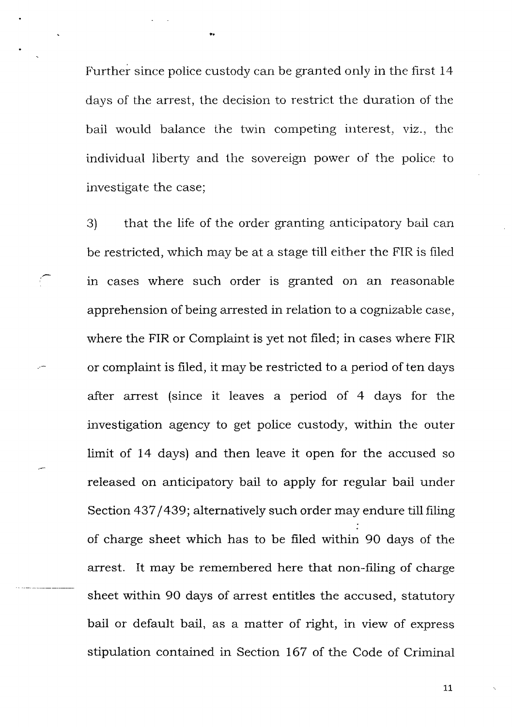Further since police custody can be granted only in the first 14 days of the arrest, the decision to restrict the duration of the bail would balance the twin competing interest, viz., the individual liberty and the sovereign power of the police to investigate the case;

3) that the life of the order granting anticipatory bail can be restricted, which may be at a stage till either the FIR is filed in cases where such order is granted on an reasonable apprehension of being arrested in relation to a cognizable case, where the FIR or Complaint is yet not filed; in cases where FIR or complaint is filed, it may be restricted to a period of ten days after arrest (since it leaves a period of 4 days for the investigation agency to get police custody, within the outer limit of 14 days) and then leave it open for the accused so released on anticipatory bail to apply for regular bail under Section 437/439; alternatively such order may endure till filing of charge sheet which has to be filed within 90 days of the arrest. It may be remembered here that non-filing of charge sheet within 9O days of arrest entitles the accused, statutory bail or default bail, as a matter of right, in view of express stipulation contained in Section 167 of the Code of Criminal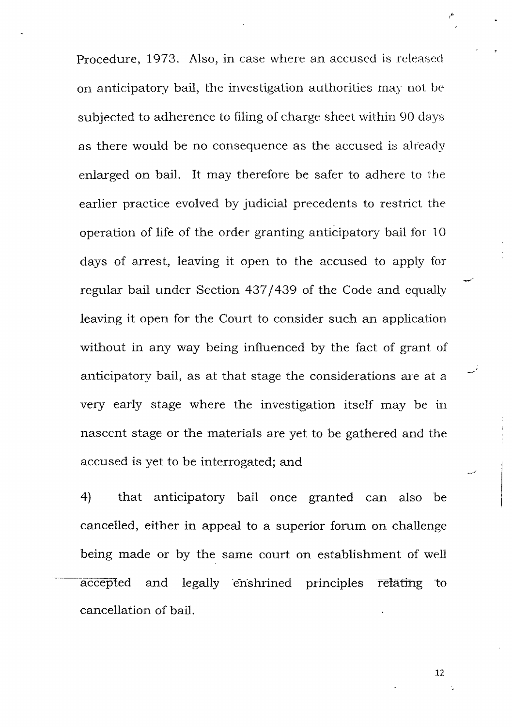Procedure, 1973. Also, in case where an accused is released on anticipatory bail, the investigation authorities may not be subjected to adherence to filing of charge sheet within 90 days as there would be no consequence as the accused is already enlarged on bail. It may therefore be safer to adhere to the earlier practice evolved by judicial precedents to restrict the operation of life of the order granting anticipatory bail for 10 days of arrest, leaving it open to the accused to apply for regular bail under Section 437/439 of the Code and equally leaving it open for the Court to consider such an application without in any way being influenced by the fact of grant of anticipatory bail, as at that stage the considerations are at a very early stage where the investigation itself may be in nascent stage or the materials are yet to be gathered and the accused is yet to be interrogated; and

4) that anticipatory bail once granted can also be cancelled, either in appeal to a superior forum on challenge being made or by the same court on establishment of well accepted and legally enshrined principles retating to cancellation of bail.

12

t, I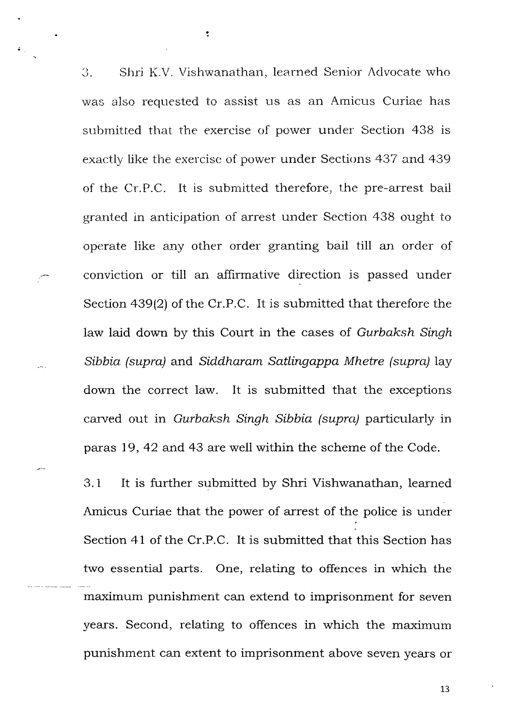3. Shri K.V. Vishwanathan, learned Senior Advocate who was also requested to assist us as an Amicus Curiae has submitted that the exercise of power under Section 438 is exactly like the exercise of power under Sections 437 and 439 of the Cr.P.C. It is submitted therefore, the pre-arrest bail granted in anticipation of arrest under Section 438 ought to operate like any other order granting bail till an order of conviction or till an affirmative direction is passed under Section 439(2) of the Cr.P.C. It is submitted that therefore the law laid down by this Court in the cases of Gurbaksh Singh Sibbia (supra) and Siddharam Satlingappa Mhetre (supra) lay down the correct law. It is submitted that the exceptions carved out in Gurbaksh Singh Sibbia (supra) particularly in paras 79, 42 and 43 are well within the scheme of the Code.

 $\ddot{\cdot}$ 

3.1 It is further submitted by Shri Vishwanathan, learned Amicus Curiae that the power of arrest of the police is under Section 4l of the Cr.P.C. It is submitted that this Section has two essential parts. One, relating to offences in which the maximum punishment can extend to imprisonment for seven years. Second, relating to offences in which the maximum punishment can extent to imprisonment above seven years or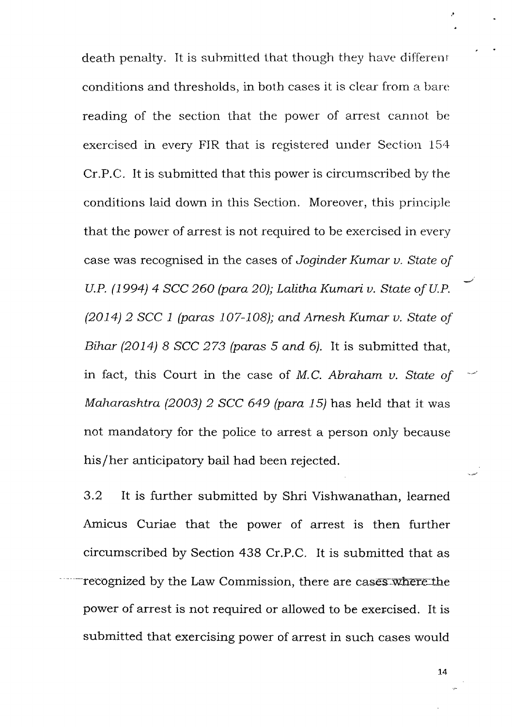death penalty. It is submitted that though they have different conditions and thresholds, in both cases it is clear from a bare reading of the section that the power of arrest cannot be exercised in every FIR that is registered under Section 154 Cr.P.C. It is submitted that this power is circumscribed by the conditions laid down in this Section. Moreover, this principle that the power of arrest is not required to be exercised in every case was recognised in the cases of Joginder Kumar v. State of U.P. (1994) 4 SCC 260 (para 20); Lalitha Kumari v. State of U.P.  $(2014)$  2 SCC 1 (paras 107-108); and Arnesh Kumar v. State of Bihar (2014) 8 SCC 273 (paras 5 and 6). It is submitted that, in fact, this Court in the case of M.C. Abraham v. State of Maharashtra (2003) 2 SCC 649 (para 15) has held that it was not mandatory for the police to arrest a person only because his/her anticipatory bail had been rejected.

 $3.2$ It is further submitted by Shri Vishwanathan, learned Amicus Curiae that the power of arrest is then further circumscribed by Section 438 Cr.P.C. It is submitted that as recognized by the Law Commission, there are cases where the power of arrest is not required or allowed to be exercised. It is submitted that exercising power of arrest in such cases would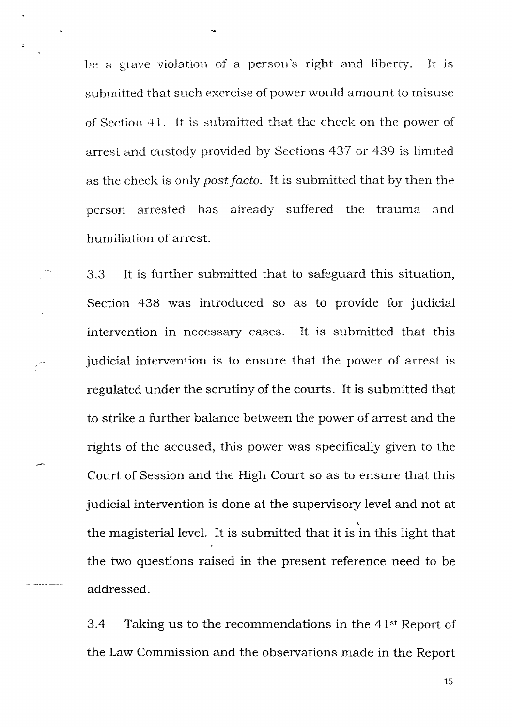be a grave violation of a person's right and liberty. It is submitted that such exercise of power would amount to misuse of Section 41. It is submitted that the check on the power of arrest and custody provided by Sections 437 or 439 is limited as the check is only post facto. It is submitted that by then the person arrested has already suffered the trauma and humiliation of arrest.

It is further submitted that to safeguard this situation,  $3.3$ Section 438 was introduced so as to provide for judicial It is submitted that this intervention in necessary cases. judicial intervention is to ensure that the power of arrest is regulated under the scrutiny of the courts. It is submitted that to strike a further balance between the power of arrest and the rights of the accused, this power was specifically given to the Court of Session and the High Court so as to ensure that this judicial intervention is done at the supervisory level and not at the magisterial level. It is submitted that it is in this light that the two questions raised in the present reference need to be addressed.

Taking us to the recommendations in the 41<sup>st</sup> Report of  $3.4$ the Law Commission and the observations made in the Report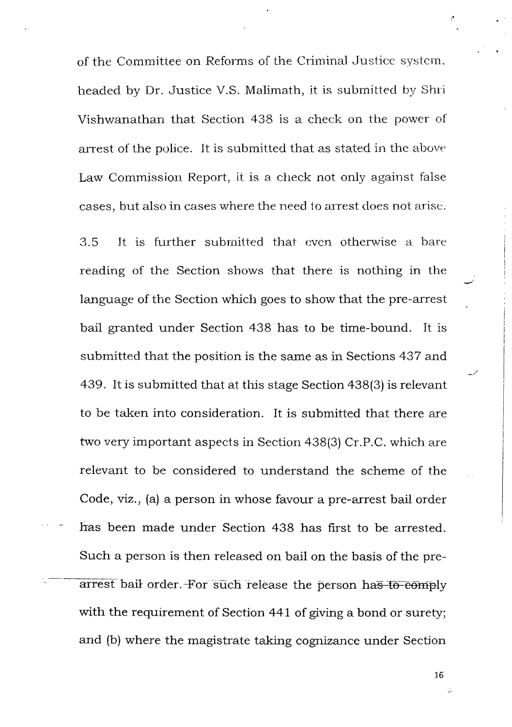of the Committee on Reforms of the Criminal Justice system. headed by Dr. Justice V.S. Malimath, it is submitted by Shri Vishwanathan that Section 438 is a check on the power of arrest of the police. It is submitted that as stated in the above Law Commission Report, it is a check not only against false cases, but also in cases where the need to arrest does not arise.

3.5 It is further submitted that even otherwise a bare reading of the Section shows that there is nothing in the language of the Section which goes to show that the pre-arrest bail granted under Section 438 has to be time-bound. It is submitted that the position is the same as in Sections 437 and 439. It is submitted that at this stage Section 438(3) is relevant to be taken into consideration. It is submitted that there are two very important aspects in Section 438(3) Cr.P.C. which are relevant to be considered to understand the scheme of the Code, viz., (a) a person in whose favour a pre-arrest bail order has been made under Section 438 has first to be arrested Such a person is then released on bail on the basis of the prearrest bail order. For such release the person has to comply with the requirement of Section 441 of giving a bond or surety; and (b) where the magistrate taking cognizance under Section

16

Ç,